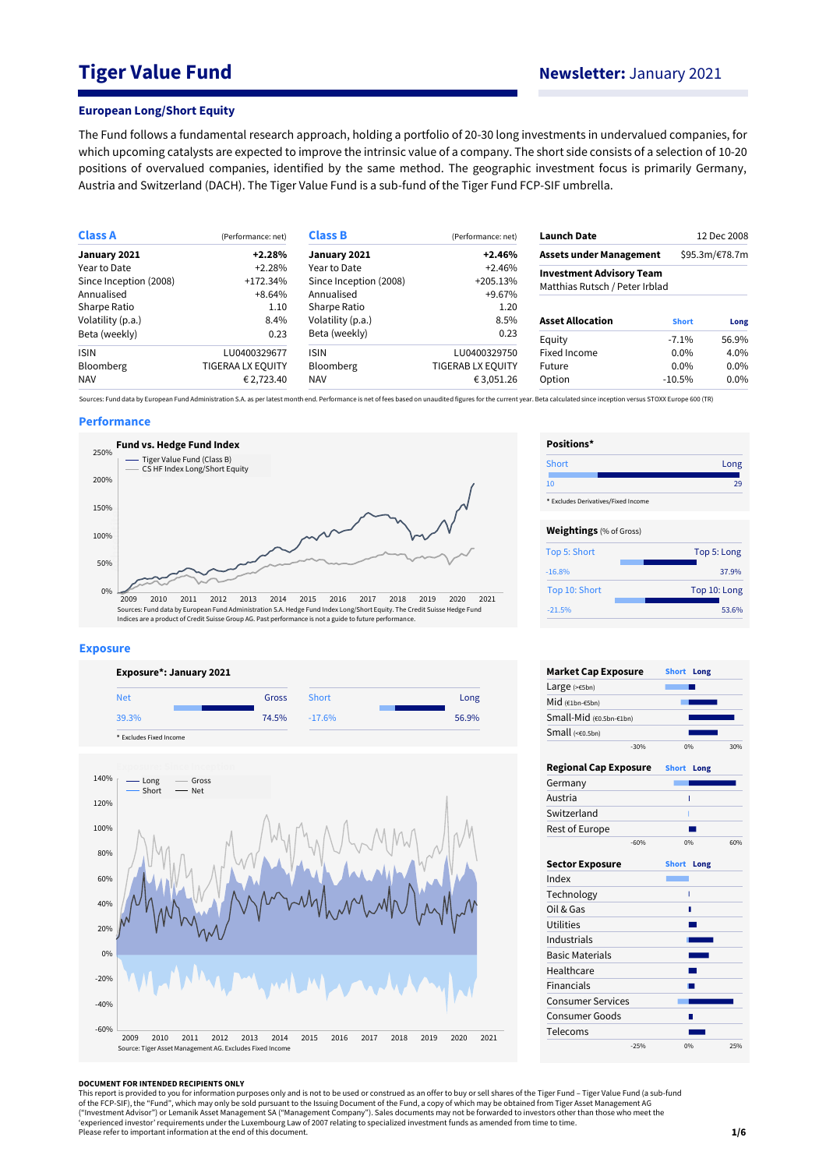# **Tiger Value Fund Newsletter:** January 2021

#### **European Long/Short Equity**

The Fund follows a fundamental research approach, holding a portfolio of 20-30 long investments in undervalued companies, for which upcoming catalysts are expected to improve the intrinsic value of a company. The short side consists of a selection of 10-20 positions of overvalued companies, identified by the same method. The geographic investment focus is primarily Germany, Austria and Switzerland (DACH). The Tiger Value Fund is a sub-fund of the Tiger Fund FCP-SIF umbrella.

| <b>Class A</b>         | (Performance: net)       | <b>Class B</b>         | (Performance: net) | <b>Launch Date</b>              |              | 12 Dec 2008    |  |
|------------------------|--------------------------|------------------------|--------------------|---------------------------------|--------------|----------------|--|
| January 2021           | $+2.28%$                 | January 2021           | $+2.46%$           | <b>Assets under Management</b>  |              | \$95.3m/€78.7m |  |
| Year to Date           | $+2.28%$                 | Year to Date           | $+2.46%$           | <b>Investment Advisory Team</b> |              |                |  |
| Since Inception (2008) | $+172.34%$               | Since Inception (2008) | $+205.13%$         | Matthias Rutsch / Peter Irblad  |              |                |  |
| Annualised             | $+8.64%$                 | Annualised             | +9.67%             |                                 |              |                |  |
| Sharpe Ratio           | 1.10                     | Sharpe Ratio           | 1.20               |                                 |              |                |  |
| Volatility (p.a.)      | 8.4%                     | Volatility (p.a.)      | 8.5%               | <b>Asset Allocation</b>         | <b>Short</b> | Long           |  |
| Beta (weekly)          | 0.23                     | Beta (weekly)          | 0.23               | Equity                          | $-7.1\%$     | 56.9%          |  |
| <b>ISIN</b>            | LU0400329677             | <b>ISIN</b>            | LU0400329750       | Fixed Income                    | $0.0\%$      | 4.0%           |  |
| <b>Bloomberg</b>       | <b>TIGERAA LX EQUITY</b> | <b>Bloomberg</b>       | TIGERAB LX EQUITY  | Future                          | $0.0\%$      | $0.0\%$        |  |
| <b>NAV</b>             | € 2,723.40               | <b>NAV</b>             | € 3,051.26         | Option                          | $-10.5\%$    | 0.0%           |  |

Sources: Fund data by European Fund Administration S.A. as per latest month end. Performance is net of fees based on unaudited figures for the current year. Beta calculated since inception versus STOXX Europe 600 (TR)

### **Performance**



#### **Exposure**





| Positions*                          |              |
|-------------------------------------|--------------|
| Short                               | Long         |
| 10                                  | 29           |
| * Excludes Derivatives/Fixed Income |              |
| <b>Weightings</b> (% of Gross)      |              |
| Top 5: Short                        | Top 5: Long  |
| $-16.8%$                            | 37.9%        |
| Top 10: Short                       | Top 10: Long |
| $-21.5%$                            | 53.6%        |

| <b>Market Cap Exposure</b>   |        | <b>Short</b> | Long |     |
|------------------------------|--------|--------------|------|-----|
| Large $(>=5bn)$              |        |              |      |     |
| Mid (€1bn-€5bn)              |        |              |      |     |
| Small-Mid (€0.5bn-€1bn)      |        |              |      |     |
| Small $(60.5bn)$             |        |              |      |     |
|                              | $-30%$ | 0%           |      | 30% |
| <b>Regional Cap Exposure</b> |        | <b>Short</b> | Long |     |
| Germany                      |        |              |      |     |
| Austria                      |        |              | Ï    |     |
| Switzerland                  |        |              |      |     |
| Rest of Europe               |        |              |      |     |
|                              | $-60%$ |              | 0%   | 60% |
| <b>Sector Exposure</b>       |        | <b>Short</b> | Long |     |
| Index                        |        |              |      |     |
| Technology                   |        |              | I    |     |
| Oil & Gas                    |        |              | П    |     |
| Utilities                    |        |              |      |     |
| Industrials                  |        |              |      |     |
| <b>Basic Materials</b>       |        |              |      |     |
| Healthcare                   |        |              |      |     |
| <b>Financials</b>            |        |              |      |     |
| <b>Consumer Services</b>     |        |              |      |     |
| Consumer Goods               |        |              |      |     |
| Telecoms                     |        |              |      |     |
|                              | $-25%$ | 0%           |      | 25% |
|                              |        |              |      |     |

#### **DOCUMENT FOR INTENDED RECIPIENTS ONLY**

This report is provided to you for information purposes only and is not to be used or construed as an offer to buy or sell shares of the Tiger Fund – Tiger Value Fund (a sub-fund<br>of the FCP-SIF), the "Fund", which may only ("Investment Advisor") or Lemanik Asset Management SA ("Management Company"). Sales documents may not be forwarded to investors other than those who meet the<br>'experienced investor' requirements under the Luxembourg Law of Please refer to important information at the end of this document.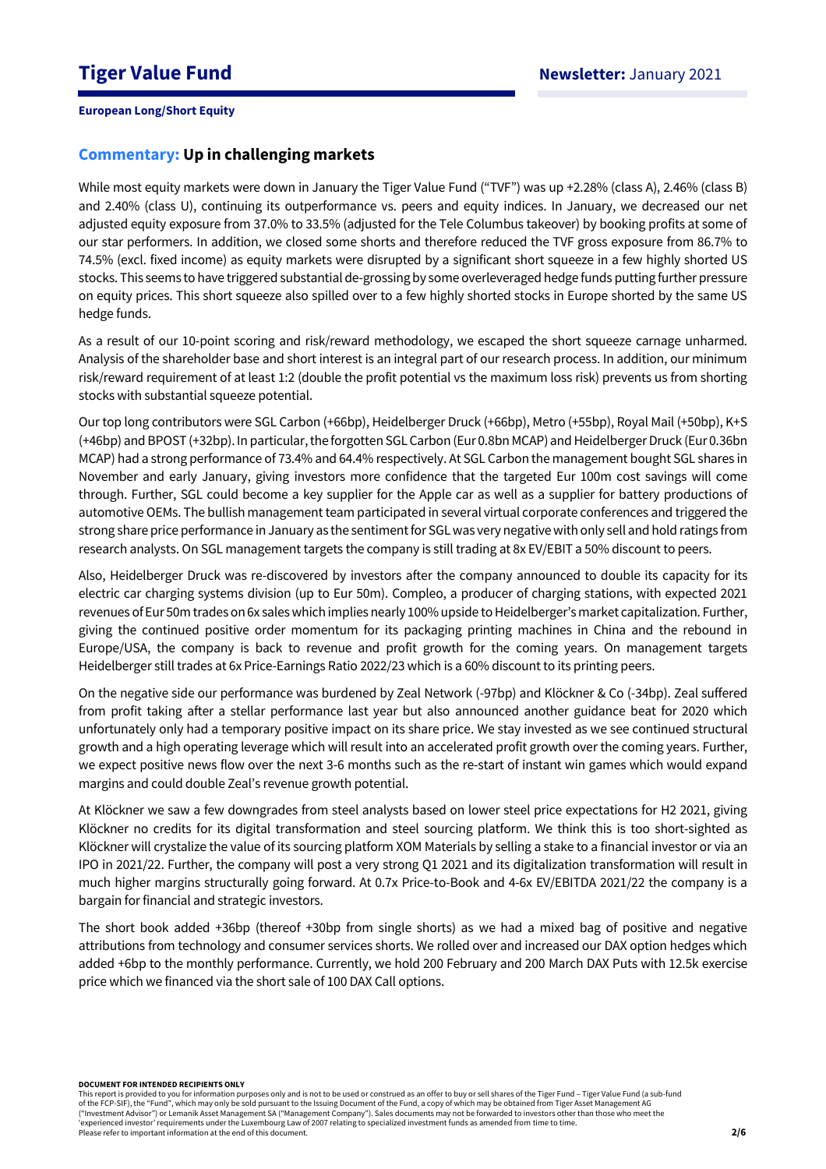# **Commentary: Up in challenging markets**

While most equity markets were down in January the Tiger Value Fund ("TVF") was up +2.28% (class A), 2.46% (class B) and 2.40% (class U), continuing its outperformance vs. peers and equity indices. In January, we decreased our net adjusted equity exposure from 37.0% to 33.5% (adjusted for the Tele Columbus takeover) by booking profits at some of our star performers. In addition, we closed some shorts and therefore reduced the TVF gross exposure from 86.7% to 74.5% (excl. fixed income) as equity markets were disrupted by a significant short squeeze in a few highly shorted US stocks. This seems to have triggered substantial de-grossing by some overleveraged hedge funds putting further pressure on equity prices. This short squeeze also spilled over to a few highly shorted stocks in Europe shorted by the same US hedge funds.

As a result of our 10-point scoring and risk/reward methodology, we escaped the short squeeze carnage unharmed. Analysis of the shareholder base and short interest is an integral part of our research process. In addition, our minimum risk/reward requirement of at least 1:2 (double the profit potential vs the maximum loss risk) prevents us from shorting stocks with substantial squeeze potential.

Our top long contributors were SGL Carbon (+66bp), Heidelberger Druck (+66bp), Metro (+55bp), Royal Mail (+50bp), K+S (+46bp) and BPOST (+32bp). In particular, the forgotten SGL Carbon (Eur 0.8bn MCAP) and Heidelberger Druck (Eur 0.36bn MCAP) had a strong performance of 73.4% and 64.4% respectively. At SGL Carbon the management bought SGL shares in November and early January, giving investors more confidence that the targeted Eur 100m cost savings will come through. Further, SGL could become a key supplier for the Apple car as well as a supplier for battery productions of automotive OEMs. The bullish management team participated in several virtual corporate conferences and triggered the strong share price performance in January as the sentiment for SGL was very negative with only sell and hold ratings from research analysts. On SGL management targets the company is still trading at 8x EV/EBIT a 50% discount to peers.

Also, Heidelberger Druck was re-discovered by investors after the company announced to double its capacity for its electric car charging systems division (up to Eur 50m). Compleo, a producer of charging stations, with expected 2021 revenues of Eur 50m trades on 6x sales which implies nearly 100% upside to Heidelberger's market capitalization. Further, giving the continued positive order momentum for its packaging printing machines in China and the rebound in Europe/USA, the company is back to revenue and profit growth for the coming years. On management targets Heidelberger still trades at 6x Price-Earnings Ratio 2022/23 which is a 60% discount to its printing peers.

On the negative side our performance was burdened by Zeal Network (-97bp) and Klöckner & Co (-34bp). Zeal suffered from profit taking after a stellar performance last year but also announced another guidance beat for 2020 which unfortunately only had a temporary positive impact on its share price. We stay invested as we see continued structural growth and a high operating leverage which will result into an accelerated profit growth over the coming years. Further, we expect positive news flow over the next 3-6 months such as the re-start of instant win games which would expand margins and could double Zeal's revenue growth potential.

At Klöckner we saw a few downgrades from steel analysts based on lower steel price expectations for H2 2021, giving Klöckner no credits for its digital transformation and steel sourcing platform. We think this is too short-sighted as Klöckner will crystalize the value of its sourcing platform XOM Materials by selling a stake to a financial investor or via an IPO in 2021/22. Further, the company will post a very strong Q1 2021 and its digitalization transformation will result in much higher margins structurally going forward. At 0.7x Price-to-Book and 4-6x EV/EBITDA 2021/22 the company is a bargain for financial and strategic investors.

The short book added +36bp (thereof +30bp from single shorts) as we had a mixed bag of positive and negative attributions from technology and consumer services shorts. We rolled over and increased our DAX option hedges which added +6bp to the monthly performance. Currently, we hold 200 February and 200 March DAX Puts with 12.5k exercise price which we financed via the short sale of 100 DAX Call options.

**DOCUMENT FOR INTENDED RECIPIENTS ONLY**

This report is provided to you for information purposes only and is not to be used or construed as an offer to buy or sell shares of the Tiger Fund – Tiger Value Fund (a sub-fund of the FCP-SIF), the "Fund", which may only be sold pursuant to the Issuing Document of the Fund, a copy of which may be obtained from Tiger Asset Management AG ("Investment Advisor") or Lemanik Asset Management SA ("Management Company"). Sales documents may not be forwarded to investors other than those who meet the 'experienced investor' requirements under the Luxembourg Law of 2007 relating to specialized investment funds as amended from time to time. Please refer to important information at the end of this document.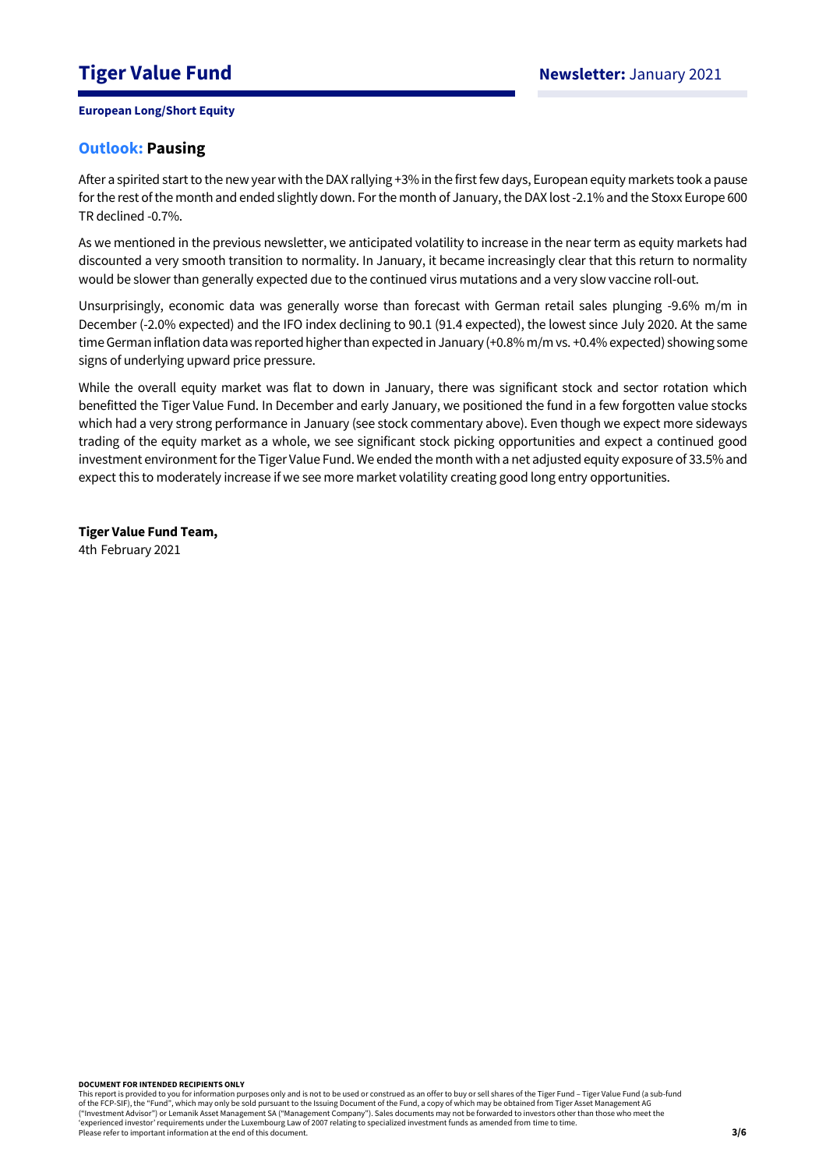# **Outlook: Pausing**

After a spirited start to the new year with the DAX rallying +3% in the first few days, European equity markets took a pause for the rest of the month and ended slightly down. For the month of January, the DAX lost -2.1% and the Stoxx Europe 600 TR declined -0.7%.

As we mentioned in the previous newsletter, we anticipated volatility to increase in the near term as equity markets had discounted a very smooth transition to normality. In January, it became increasingly clear that this return to normality would be slower than generally expected due to the continued virus mutations and a very slow vaccine roll-out.

Unsurprisingly, economic data was generally worse than forecast with German retail sales plunging -9.6% m/m in December (-2.0% expected) and the IFO index declining to 90.1 (91.4 expected), the lowest since July 2020. At the same time German inflation data was reported higher than expected in January (+0.8% m/m vs. +0.4% expected) showing some signs of underlying upward price pressure.

While the overall equity market was flat to down in January, there was significant stock and sector rotation which benefitted the Tiger Value Fund. In December and early January, we positioned the fund in a few forgotten value stocks which had a very strong performance in January (see stock commentary above). Even though we expect more sideways trading of the equity market as a whole, we see significant stock picking opportunities and expect a continued good investment environment for the Tiger Value Fund. We ended the month with a net adjusted equity exposure of 33.5% and expect this to moderately increase if we see more market volatility creating good long entry opportunities.

**Tiger Value Fund Team,**  4th February 2021

**DOCUMENT FOR INTENDED RECIPIENTS ONLY**

This report is provided to you for information purposes only and is not to be used or construed as an offer to buy or sell shares of the Tiger Fund – Tiger Value Fund (a sub-fund<br>of the FCP-SIF), the "Fund", which may only ("Investment Advisor") or Lemanik Asset Management SA ("Management Company"). Sales documents may not be forwarded to investors other than those who meet the 'experienced investor' requirements under the Luxembourg Law of 2007 relating to specialized investment funds as amended from time to time. Please refer to important information at the end of this document.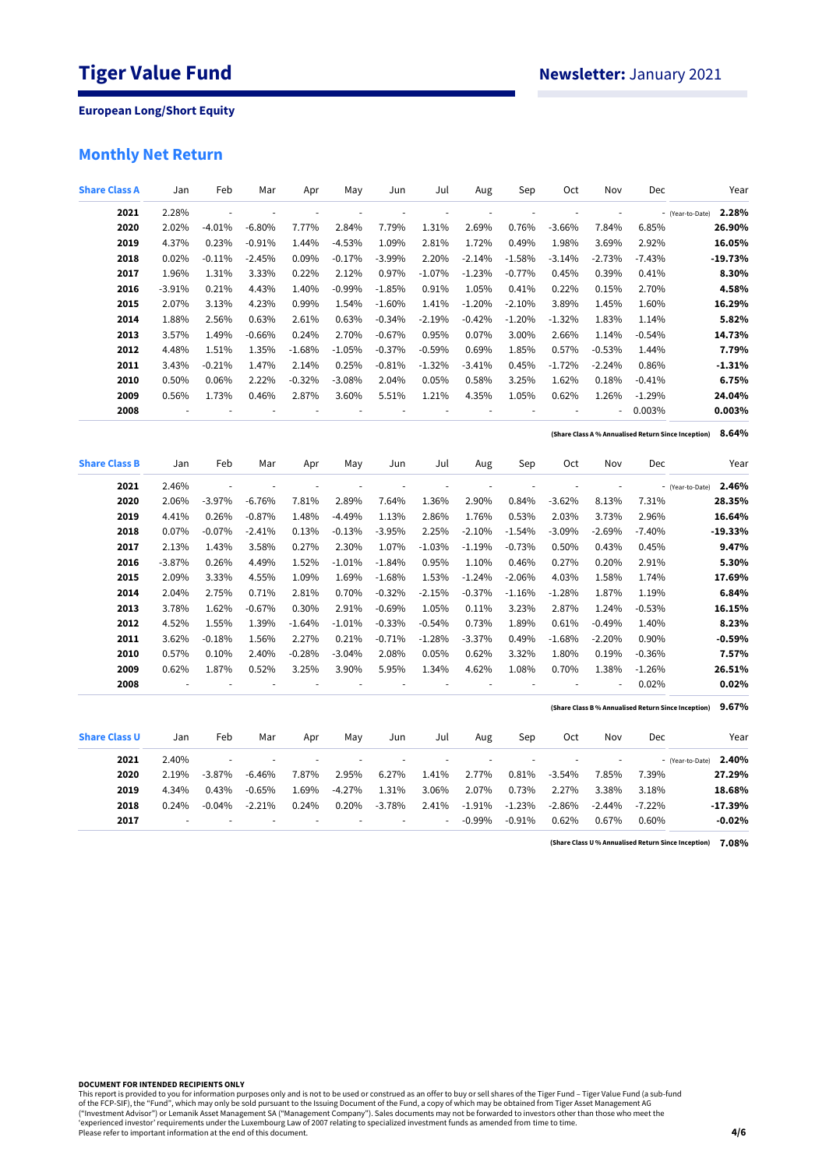# **Monthly Net Return**

| <b>Share Class A</b> | Jan      | Feb                      | Mar                      | Apr                      | May            | Jun                      | Jul                      | Aug                      | Sep                      | Oct                      | Nov                      | Dec      | Year                                                         |
|----------------------|----------|--------------------------|--------------------------|--------------------------|----------------|--------------------------|--------------------------|--------------------------|--------------------------|--------------------------|--------------------------|----------|--------------------------------------------------------------|
| 2021                 | 2.28%    | $\overline{\phantom{a}}$ | ÷,                       | $\overline{\phantom{a}}$ | ÷,             | ÷,                       | ÷,                       | ÷,                       | ÷,                       | ÷,                       | $\blacksquare$           |          | 2.28%<br>- (Year-to-Date)                                    |
| 2020                 | 2.02%    | $-4.01%$                 | $-6.80%$                 | 7.77%                    | 2.84%          | 7.79%                    | 1.31%                    | 2.69%                    | 0.76%                    | $-3.66%$                 | 7.84%                    | 6.85%    | 26.90%                                                       |
| 2019                 | 4.37%    | 0.23%                    | $-0.91%$                 | 1.44%                    | $-4.53%$       | 1.09%                    | 2.81%                    | 1.72%                    | 0.49%                    | 1.98%                    | 3.69%                    | 2.92%    | 16.05%                                                       |
| 2018                 | 0.02%    | $-0.11%$                 | $-2.45%$                 | 0.09%                    | $-0.17%$       | $-3.99%$                 | 2.20%                    | $-2.14%$                 | $-1.58%$                 | $-3.14%$                 | $-2.73%$                 | $-7.43%$ | $-19.73%$                                                    |
| 2017                 | 1.96%    | 1.31%                    | 3.33%                    | 0.22%                    | 2.12%          | 0.97%                    | $-1.07%$                 | $-1.23%$                 | $-0.77%$                 | 0.45%                    | 0.39%                    | 0.41%    | 8.30%                                                        |
| 2016                 | $-3.91%$ | 0.21%                    | 4.43%                    | 1.40%                    | $-0.99%$       | $-1.85%$                 | 0.91%                    | 1.05%                    | 0.41%                    | 0.22%                    | 0.15%                    | 2.70%    | 4.58%                                                        |
| 2015                 | 2.07%    | 3.13%                    | 4.23%                    | 0.99%                    | 1.54%          | $-1.60%$                 | 1.41%                    | $-1.20%$                 | $-2.10%$                 | 3.89%                    | 1.45%                    | 1.60%    | 16.29%                                                       |
| 2014                 | 1.88%    | 2.56%                    | 0.63%                    | 2.61%                    | 0.63%          | $-0.34%$                 | $-2.19%$                 | $-0.42%$                 | $-1.20%$                 | $-1.32%$                 | 1.83%                    | 1.14%    | 5.82%                                                        |
| 2013                 | 3.57%    | 1.49%                    | $-0.66%$                 | 0.24%                    | 2.70%          | $-0.67%$                 | 0.95%                    | 0.07%                    | 3.00%                    | 2.66%                    | 1.14%                    | $-0.54%$ | 14.73%                                                       |
| 2012                 | 4.48%    | 1.51%                    | 1.35%                    | $-1.68%$                 | $-1.05%$       | $-0.37%$                 | $-0.59%$                 | 0.69%                    | 1.85%                    | 0.57%                    | $-0.53%$                 | 1.44%    | 7.79%                                                        |
| 2011                 | 3.43%    | $-0.21%$                 | 1.47%                    | 2.14%                    | 0.25%          | $-0.81%$                 | $-1.32%$                 | $-3.41%$                 | 0.45%                    | $-1.72%$                 | $-2.24%$                 | 0.86%    | $-1.31%$                                                     |
| 2010                 | 0.50%    | 0.06%                    | 2.22%                    | $-0.32%$                 | $-3.08%$       | 2.04%                    | 0.05%                    | 0.58%                    | 3.25%                    | 1.62%                    | 0.18%                    | $-0.41%$ | 6.75%                                                        |
| 2009                 | 0.56%    | 1.73%                    | 0.46%                    | 2.87%                    | 3.60%          | 5.51%                    | 1.21%                    | 4.35%                    | 1.05%                    | 0.62%                    | 1.26%                    | $-1.29%$ | 24.04%                                                       |
| 2008                 | ÷,       | $\overline{a}$           | ÷,                       | $\overline{\phantom{a}}$ | $\overline{a}$ | $\overline{a}$           | ÷,                       | ÷,                       | $\overline{\phantom{a}}$ | ÷,                       | ÷,                       | 0.003%   | 0.003%                                                       |
|                      |          |                          |                          |                          |                |                          |                          |                          |                          |                          |                          |          | 8.64%<br>(Share Class A % Annualised Return Since Inception) |
| <b>Share Class B</b> | Jan      | Feb                      | Mar                      | Apr                      | May            | Jun                      | Jul                      | Aug                      | Sep                      | Oct                      | Nov                      | Dec      | Year                                                         |
| 2021                 | 2.46%    | ÷,                       | $\overline{\phantom{a}}$ | ÷,                       | $\overline{a}$ | $\overline{\phantom{a}}$ | $\blacksquare$           | $\overline{\phantom{a}}$ |                          | $\overline{\phantom{a}}$ | $\overline{\phantom{a}}$ |          | 2.46%<br>- (Year-to-Date)                                    |
| 2020                 | 2.06%    | $-3.97%$                 | $-6.76%$                 | 7.81%                    | 2.89%          | 7.64%                    | 1.36%                    | 2.90%                    | 0.84%                    | $-3.62%$                 | 8.13%                    | 7.31%    | 28.35%                                                       |
| 2019                 | 4.41%    | 0.26%                    | $-0.87%$                 | 1.48%                    | $-4.49%$       | 1.13%                    | 2.86%                    | 1.76%                    | 0.53%                    | 2.03%                    | 3.73%                    | 2.96%    | 16.64%                                                       |
| 2018                 | 0.07%    | $-0.07%$                 | $-2.41%$                 | 0.13%                    | $-0.13%$       | $-3.95%$                 | 2.25%                    | $-2.10%$                 | $-1.54%$                 | $-3.09%$                 | $-2.69%$                 | $-7.40%$ | $-19.33%$                                                    |
| 2017                 | 2.13%    | 1.43%                    | 3.58%                    | 0.27%                    | 2.30%          | 1.07%                    | $-1.03%$                 | $-1.19%$                 | $-0.73%$                 | 0.50%                    | 0.43%                    | 0.45%    | 9.47%                                                        |
| 2016                 | $-3.87%$ | 0.26%                    | 4.49%                    | 1.52%                    | $-1.01%$       | $-1.84%$                 | 0.95%                    | 1.10%                    | 0.46%                    | 0.27%                    | 0.20%                    | 2.91%    | 5.30%                                                        |
| 2015                 | 2.09%    | 3.33%                    | 4.55%                    | 1.09%                    | 1.69%          | $-1.68%$                 | 1.53%                    | $-1.24%$                 | $-2.06%$                 | 4.03%                    | 1.58%                    | 1.74%    | 17.69%                                                       |
| 2014                 | 2.04%    | 2.75%                    | 0.71%                    | 2.81%                    | 0.70%          | $-0.32%$                 | $-2.15%$                 | $-0.37%$                 | $-1.16%$                 | $-1.28%$                 | 1.87%                    | 1.19%    | 6.84%                                                        |
| 2013                 | 3.78%    | 1.62%                    | $-0.67%$                 | 0.30%                    | 2.91%          | $-0.69%$                 | 1.05%                    | 0.11%                    | 3.23%                    | 2.87%                    | 1.24%                    | $-0.53%$ | 16.15%                                                       |
| 2012                 | 4.52%    | 1.55%                    | 1.39%                    | $-1.64%$                 | $-1.01%$       | $-0.33%$                 | $-0.54%$                 | 0.73%                    | 1.89%                    | 0.61%                    | $-0.49%$                 | 1.40%    | 8.23%                                                        |
| 2011                 | 3.62%    | $-0.18%$                 | 1.56%                    | 2.27%                    | 0.21%          | $-0.71%$                 | $-1.28%$                 | $-3.37%$                 | 0.49%                    | $-1.68%$                 | $-2.20%$                 | 0.90%    | $-0.59%$                                                     |
| 2010                 | 0.57%    | 0.10%                    | 2.40%                    | $-0.28%$                 | $-3.04%$       | 2.08%                    | 0.05%                    | 0.62%                    | 3.32%                    | 1.80%                    | 0.19%                    | $-0.36%$ | 7.57%                                                        |
| 2009                 | 0.62%    | 1.87%                    | 0.52%                    | 3.25%                    | 3.90%          | 5.95%                    | 1.34%                    | 4.62%                    | 1.08%                    | 0.70%                    | 1.38%                    | $-1.26%$ | 26.51%                                                       |
| 2008                 |          |                          | ÷,                       | ÷,                       | ÷,             |                          |                          |                          | $\overline{\phantom{a}}$ | ÷,                       |                          | 0.02%    | 0.02%                                                        |
|                      |          |                          |                          |                          |                |                          |                          |                          |                          |                          |                          |          | 9.67%<br>(Share Class B% Annualised Return Since Inception)  |
| <b>Share Class U</b> | Jan      | Feb                      | Mar                      | Apr                      | May            | Jun                      | Jul                      | Aug                      | Sep                      | Oct                      | Nov                      | Dec      | Year                                                         |
| 2021                 | 2.40%    | ÷,                       | ÷,                       | $\overline{\phantom{a}}$ | ÷,             | $\overline{a}$           | $\overline{\phantom{a}}$ | ÷,                       | ä,                       | ÷.                       | $\overline{\phantom{a}}$ |          | 2.40%<br>- (Year-to-Date)                                    |
| 2020                 | 2.19%    | $-3.87%$                 | $-6.46%$                 | 7.87%                    | 2.95%          | 6.27%                    | 1.41%                    | 2.77%                    | 0.81%                    | $-3.54%$                 | 7.85%                    | 7.39%    | 27.29%                                                       |
| 2019                 | 4.34%    | 0.43%                    | $-0.65%$                 | 1.69%                    | $-4.27%$       | 1.31%                    | 3.06%                    | 2.07%                    | 0.73%                    | 2.27%                    | 3.38%                    | 3.18%    | 18.68%                                                       |
| 2018                 | 0.24%    | $-0.04%$                 | $-2.21%$                 | 0.24%                    | 0.20%          | $-3.78%$                 | 2.41%                    | $-1.91%$                 | $-1.23%$                 | $-2.86%$                 | $-2.44%$                 | $-7.22%$ | $-17.39%$                                                    |
| 2017                 |          |                          |                          |                          |                |                          | ä,                       | $-0.99%$                 | $-0.91%$                 | 0.62%                    | 0.67%                    | 0.60%    | $-0.02%$                                                     |

**7.08% (Share Class U % Annualised Return Since Inception)**

**DOCUMENT FOR INTENDED RECIPIENTS ONLY**

This report is provided to you for information purposes only and is not to be used or construed as an offer to buy or sell shares of the Tiger Fund – Tiger Value Fund (a sub-fund<br>of the FCP-SIF), the "Fund", which may only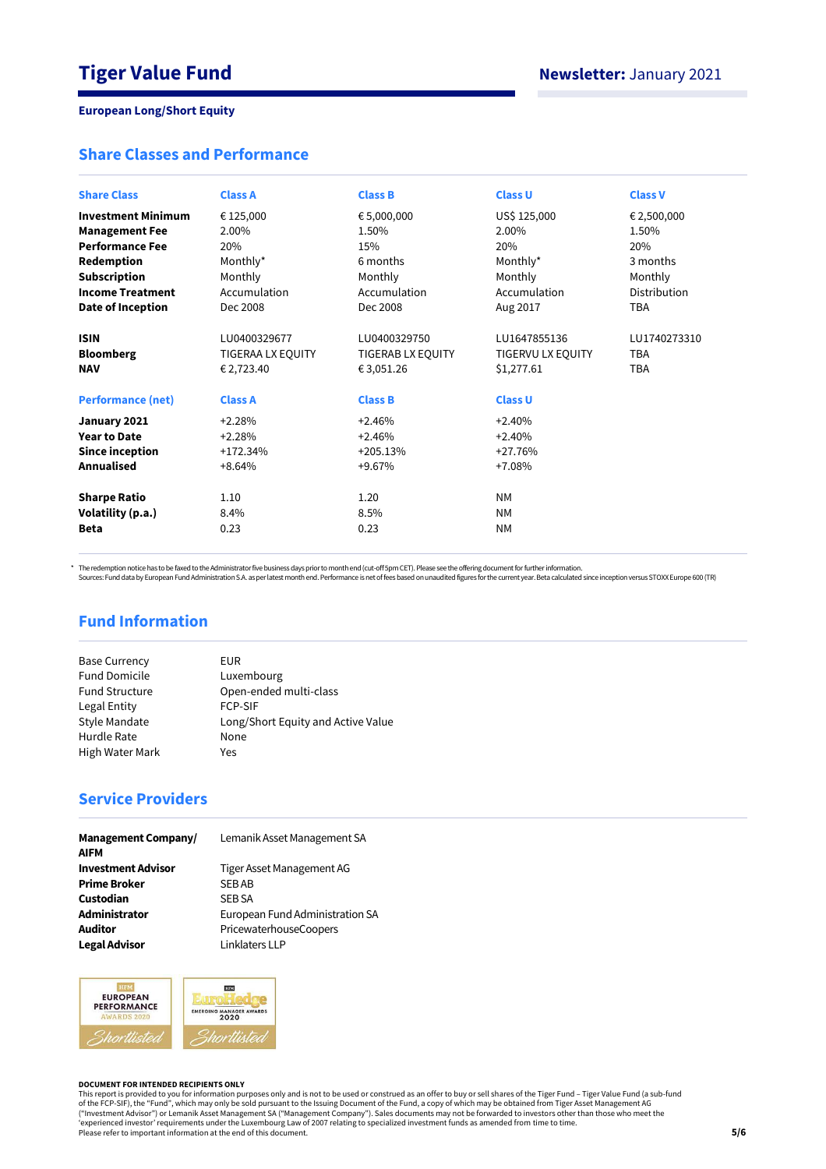# **Share Classes and Performance**

| <b>Share Class</b>        | <b>Class A</b>    | <b>Class B</b>    | <b>Class U</b>    | <b>Class V</b> |
|---------------------------|-------------------|-------------------|-------------------|----------------|
|                           |                   |                   |                   |                |
| <b>Investment Minimum</b> | € 125,000         | € 5,000,000       | US\$ 125,000      | € 2,500,000    |
| <b>Management Fee</b>     | 2.00%             | 1.50%             | 2.00%             | 1.50%          |
| <b>Performance Fee</b>    | 20%               | 15%               | 20%               | 20%            |
| Redemption                | Monthly*          | 6 months          | Monthly*          | 3 months       |
| <b>Subscription</b>       | Monthly           | Monthly           | Monthly           | Monthly        |
| <b>Income Treatment</b>   | Accumulation      | Accumulation      | Accumulation      | Distribution   |
| <b>Date of Inception</b>  | Dec 2008          | Dec 2008          | Aug 2017          | <b>TBA</b>     |
| <b>ISIN</b>               | LU0400329677      | LU0400329750      | LU1647855136      | LU1740273310   |
| <b>Bloomberg</b>          | TIGERAA LX EQUITY | TIGERAB LX EQUITY | TIGERVU LX EQUITY | <b>TBA</b>     |
| <b>NAV</b>                | € 2,723.40        | € 3,051.26        | \$1,277.61        | <b>TBA</b>     |
| <b>Performance (net)</b>  | <b>Class A</b>    | <b>Class B</b>    | <b>Class U</b>    |                |
| January 2021              | $+2.28%$          | $+2.46%$          | $+2.40%$          |                |
| <b>Year to Date</b>       | $+2.28%$          | $+2.46%$          | $+2.40%$          |                |
| Since inception           | $+172.34%$        | $+205.13%$        | $+27.76%$         |                |
| Annualised                | $+8.64%$          | +9.67%            | $+7.08%$          |                |
| <b>Sharpe Ratio</b>       | 1.10              | 1.20              | <b>NM</b>         |                |
| Volatility (p.a.)         | 8.4%              | 8.5%              | <b>NM</b>         |                |
| <b>Beta</b>               | 0.23              | 0.23              | <b>NM</b>         |                |

\* The redemption notice has to be faxed to the Administrator five business days prior to month end (cut-off 5pm CET). Please see the offering document for further information.<br>Sources: Fund data by European Fund Administra

# **Fund Information**

| <b>Base Currency</b>  | EUR                                |
|-----------------------|------------------------------------|
| <b>Fund Domicile</b>  | Luxembourg                         |
| <b>Fund Structure</b> | Open-ended multi-class             |
| Legal Entity          | <b>FCP-SIF</b>                     |
| Style Mandate         | Long/Short Equity and Active Value |
| Hurdle Rate           | None                               |
| High Water Mark       | Yes                                |
|                       |                                    |

# **Service Providers**

| <b>Management Company/</b><br><b>AIFM</b> | Lemanik Asset Management SA     |
|-------------------------------------------|---------------------------------|
| <b>Investment Advisor</b>                 | Tiger Asset Management AG       |
| <b>Prime Broker</b>                       | <b>SEBAB</b>                    |
| Custodian                                 | <b>SEB SA</b>                   |
| Administrator                             | European Fund Administration SA |
| <b>Auditor</b>                            | PricewaterhouseCoopers          |
| <b>Legal Advisor</b>                      | Linklaters LLP                  |



#### **DOCUMENT FOR INTENDED RECIPIENTS ONLY**

This report is provided to you for information purposes only and is not to be used or construed as an offer to buy or sell shares of the Tiger Fund – Tiger Value Fund (a sub-fund<br>of the FCP-SIF), the "Fund", which may only